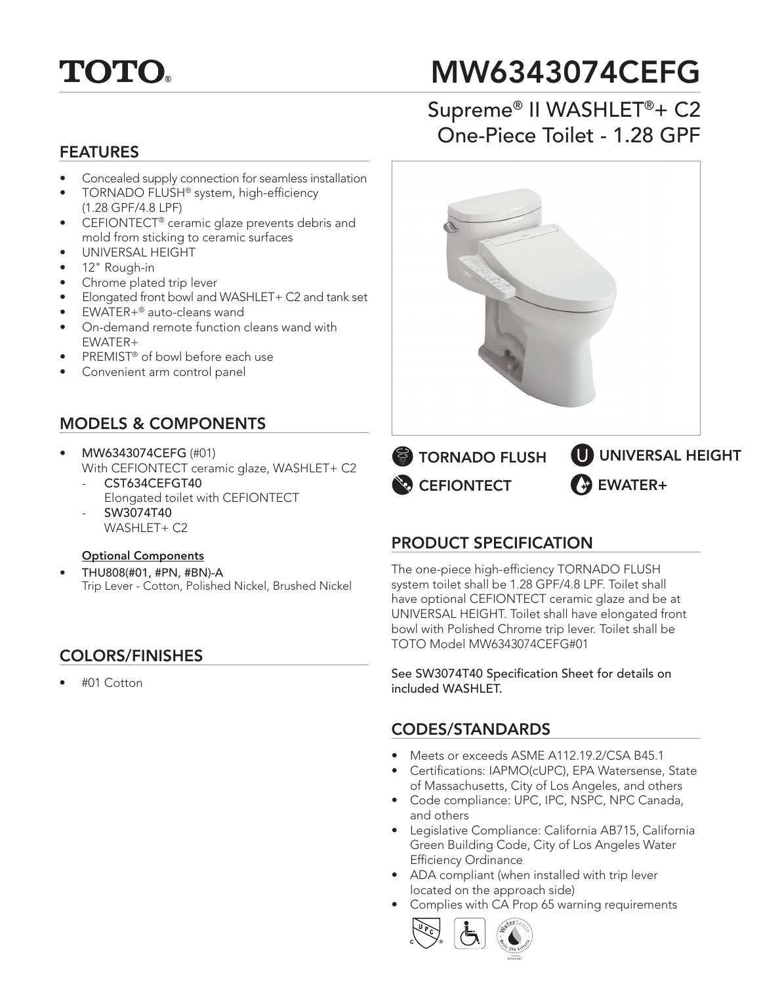

# MW6343074CEFG

## FEATURES

- Concealed supply connection for seamless installation
- TORNADO FLUSH<sup>®</sup> system, high-efficiency (1.28 GPF/4.8 LPF)
- CEFIONTECT® ceramic glaze prevents debris and mold from sticking to ceramic surfaces
- UNIVERSAL HEIGHT
- 12" Rough-in
- Chrome plated trip lever
- Elongated front bowl and WASHLET+ C2 and tank set
- EWATER+® auto-cleans wand
- On-demand remote function cleans wand with EWATER+
- PREMIST<sup>®</sup> of bowl before each use
- Convenient arm control panel

### MODELS & COMPONENTS

- MW6343074CEFG (#01) With CEFIONTECT ceramic glaze, WASHLET+ C2 CST634CEFGT40
	- Elongated toilet with CEFIONTECT - SW3074T40
	- WASHLET+ C2

#### Optional Components

• THU808(#01, #PN, #BN)-A Trip Lever - Cotton, Polished Nickel, Brushed Nickel

#### COLORS/FINISHES

• #01 Cotton

# Supreme® II WASHLET®+ C2 One-Piece Toilet - 1.28 GPF



#### PRODUCT SPECIFICATION

The one-piece high-efficiency TORNADO FLUSH system toilet shall be 1.28 GPF/4.8 LPF. Toilet shall have optional CEFIONTECT ceramic glaze and be at UNIVERSAL HEIGHT. Toilet shall have elongated front bowl with Polished Chrome trip lever. Toilet shall be TOTO Model MW6343074CEFG#01

See SW3074T40 Specification Sheet for details on included WASHLET.

#### CODES/STANDARDS

- Meets or exceeds ASME A112.19.2/CSA B45.1
- Certifications: IAPMO(cUPC), EPA Watersense, State of Massachusetts, City of Los Angeles, and others
- Code compliance: UPC, IPC, NSPC, NPC Canada, and others
- Legislative Compliance: California AB715, California Green Building Code, City of Los Angeles Water Efficiency Ordinance
- ADA compliant (when installed with trip lever located on the approach side)
- Complies with CA Prop 65 warning requirements